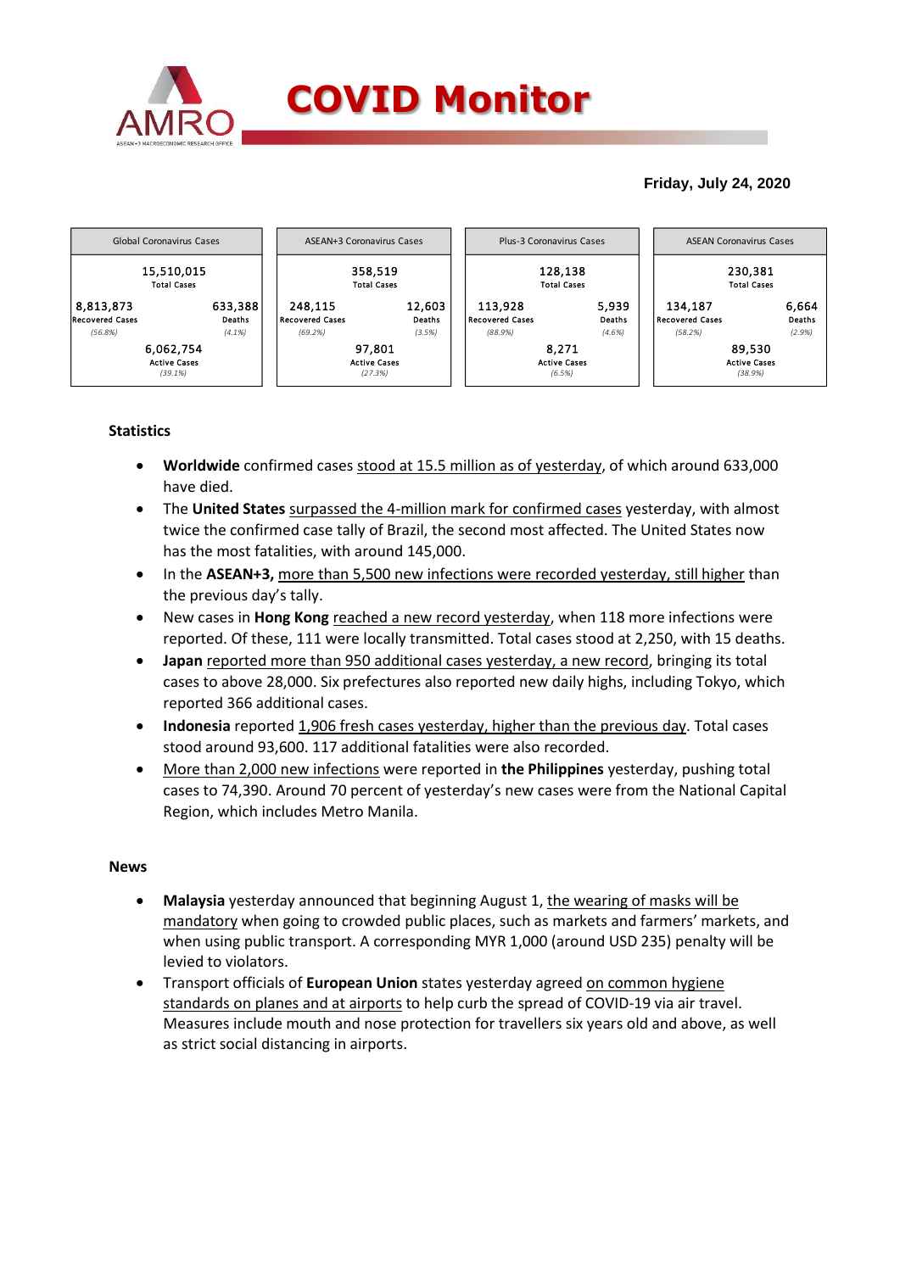

# **Friday, July 24, 2020**



# **Statistics**

- **Worldwide** confirmed cases stood at 15.5 million as of yesterday, of which around 633,000 have died.
- The **United States** surpassed the 4-million mark for confirmed cases yesterday, with almost twice the confirmed case tally of Brazil, the second most affected. The United States now has the most fatalities, with around 145,000.
- In the **ASEAN+3**, more than 5,500 new infections were recorded yesterday, still higher than the previous day's tally.
- New cases in **Hong Kong** reached a new record yesterday, when 118 more infections were reported. Of these, 111 were locally transmitted. Total cases stood at 2,250, with 15 deaths.
- **Japan** reported more than 950 additional cases yesterday, a new record, bringing its total cases to above 28,000. Six prefectures also reported new daily highs, including Tokyo, which reported 366 additional cases.
- **Indonesia** reported 1,906 fresh cases yesterday, higher than the previous day. Total cases stood around 93,600. 117 additional fatalities were also recorded.
- More than 2,000 new infections were reported in **the Philippines** yesterday, pushing total cases to 74,390. Around 70 percent of yesterday's new cases were from the National Capital Region, which includes Metro Manila.

### **News**

- **Malaysia** yesterday announced that beginning August 1, the wearing of masks will be mandatory when going to crowded public places, such as markets and farmers' markets, and when using public transport. A corresponding MYR 1,000 (around USD 235) penalty will be levied to violators.
- Transport officials of **European Union** states yesterday agreed on common hygiene standards on planes and at airports to help curb the spread of COVID-19 via air travel. Measures include mouth and nose protection for travellers six years old and above, as well as strict social distancing in airports.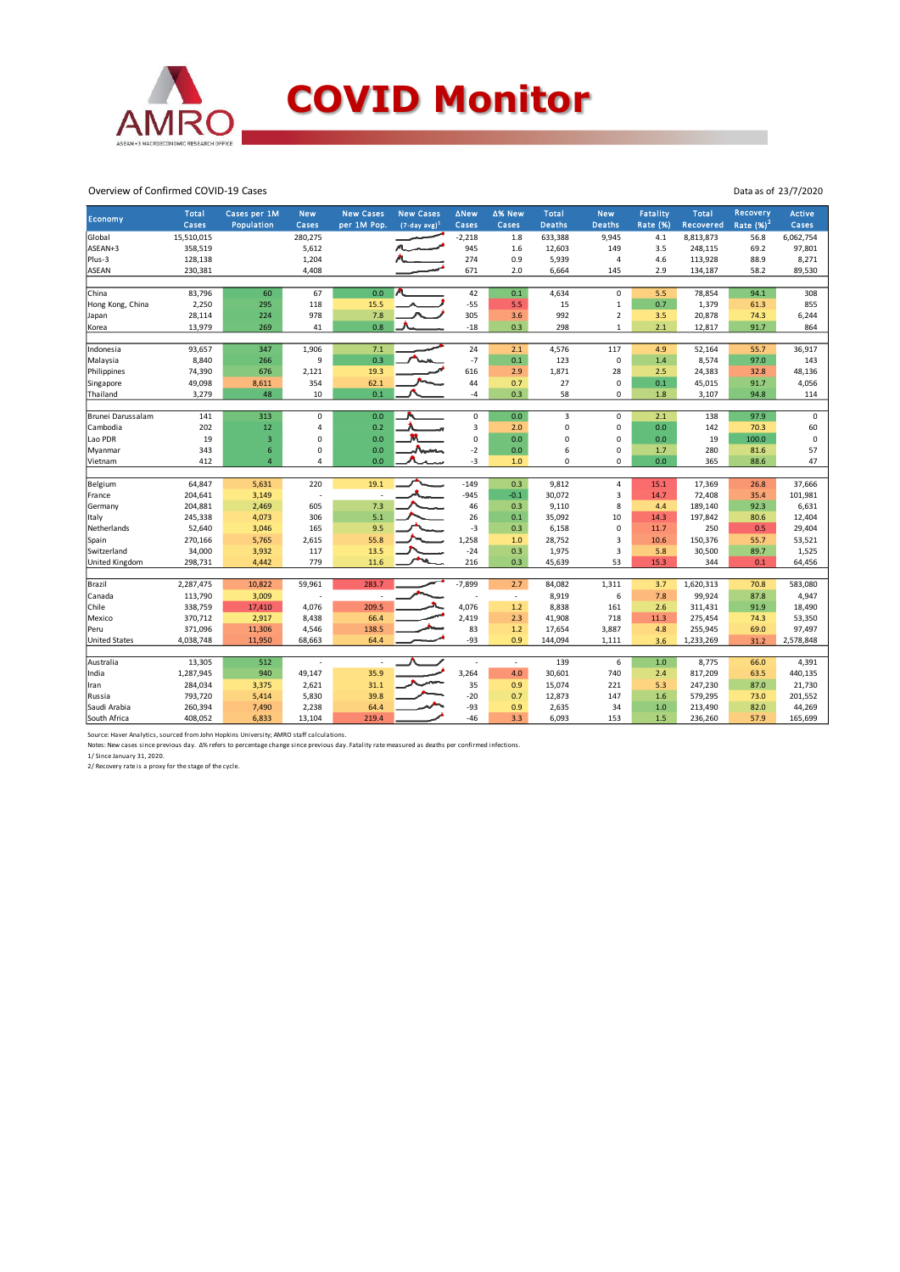

#### Overview of Confirmed COVID-19 Cases

| Economy              | Total      | Cases per 1M   | <b>New</b>     | <b>New Cases</b> | <b>New Cases</b>            | <b>ANew</b> | ∆% New                   | Total         | <b>New</b>     | Fatality        | Total     | Recovery    | <b>Active</b> |
|----------------------|------------|----------------|----------------|------------------|-----------------------------|-------------|--------------------------|---------------|----------------|-----------------|-----------|-------------|---------------|
|                      | Cases      | Population     | Cases          | per 1M Pop.      | $(7$ -day avg) <sup>1</sup> | Cases       | Cases                    | <b>Deaths</b> | <b>Deaths</b>  | <b>Rate (%)</b> | Recovered | Rate $(%)2$ | Cases         |
| Global               | 15,510,015 |                | 280,275        |                  |                             | $-2,218$    | 1.8                      | 633,388       | 9,945          | 4.1             | 8,813,873 | 56.8        | 6,062,754     |
| ASEAN+3              | 358,519    |                | 5,612          |                  |                             | 945         | 1.6                      | 12,603        | 149            | 3.5             | 248,115   | 69.2        | 97,801        |
| Plus-3               | 128,138    |                | 1,204          |                  |                             | 274         | 0.9                      | 5,939         | 4              | 4.6             | 113,928   | 88.9        | 8,271         |
| <b>ASEAN</b>         | 230,381    |                | 4,408          |                  |                             | 671         | 2.0                      | 6,664         | 145            | 2.9             | 134,187   | 58.2        | 89,530        |
|                      |            |                |                |                  |                             |             |                          |               |                |                 |           |             |               |
| China                | 83,796     | 60             | 67             | 0.0              |                             | 42          | 0.1                      | 4,634         | 0              | 5.5             | 78,854    | 94.1        | 308           |
| Hong Kong, China     | 2,250      | 295            | 118            | 15.5             |                             | $-55$       | 5.5                      | 15            | $\mathbf 1$    | 0.7             | 1,379     | 61.3        | 855           |
| Japan                | 28,114     | 224            | 978            | 7.8              |                             | 305         | 3.6                      | 992           | $\overline{2}$ | 3.5             | 20,878    | 74.3        | 6,244         |
| Korea                | 13,979     | 269            | 41             | 0.8              |                             | $-18$       | 0.3                      | 298           | $\mathbf{1}$   | 2.1             | 12,817    | 91.7        | 864           |
|                      |            |                |                |                  |                             |             |                          |               |                |                 |           |             |               |
| Indonesia            | 93,657     | 347            | 1,906          | 7.1              |                             | 24          | 2.1                      | 4,576         | 117            | 4.9             | 52,164    | 55.7        | 36,917        |
| Malaysia             | 8,840      | 266            | 9              | 0.3              |                             | $-7$        | 0.1                      | 123           | 0              | 1.4             | 8,574     | 97.0        | 143           |
| Philippines          | 74,390     | 676            | 2,121          | 19.3             |                             | 616         | 2.9                      | 1,871         | 28             | 2.5             | 24,383    | 32.8        | 48,136        |
| Singapore            | 49,098     | 8,611          | 354            | 62.1             |                             | 44          | 0.7                      | 27            | 0              | 0.1             | 45,015    | 91.7        | 4,056         |
| Thailand             | 3,279      | 48             | 10             | 0.1              |                             | $-4$        | 0.3                      | 58            | 0              | 1.8             | 3,107     | 94.8        | 114           |
|                      |            |                |                |                  |                             |             |                          |               |                |                 |           |             |               |
| Brunei Darussalam    | 141        | 313            | $\mathbf 0$    | 0.0              |                             | 0           | 0.0                      | 3             | 0              | 2.1             | 138       | 97.9        | $\mathbf 0$   |
| Cambodia             | 202        | 12             | $\overline{4}$ | 0.2              |                             | 3           | 2.0                      | 0             | 0              | 0.0             | 142       | 70.3        | 60            |
| Lao PDR              | 19         | 3              | 0              | 0.0              |                             | $\mathbf 0$ | 0.0                      | $\mathbf 0$   | 0              | 0.0             | 19        | 100.0       | $\bf 0$       |
| Myanmar              | 343        | 6              | 0              | 0.0              | America                     | $-2$        | 0.0                      | 6             | 0              | 1.7             | 280       | 81.6        | 57            |
| Vietnam              | 412        | $\overline{4}$ | $\overline{4}$ | 0.0              |                             | $-3$        | 1.0                      | 0             | 0              | 0.0             | 365       | 88.6        | 47            |
|                      |            |                |                |                  |                             |             |                          |               |                |                 |           |             |               |
| Belgium              | 64,847     | 5,631          | 220            | 19.1             |                             | $-149$      | 0.3                      | 9,812         | $\overline{4}$ | 15.1            | 17,369    | 26.8        | 37,666        |
| France               | 204,641    | 3,149          | ÷,             |                  |                             | $-945$      | $-0.1$                   | 30,072        | 3              | 14.7            | 72,408    | 35.4        | 101,981       |
| Germany              | 204,881    | 2,469          | 605            | 7.3              |                             | 46          | 0.3                      | 9,110         | 8              | 4.4             | 189,140   | 92.3        | 6,631         |
| Italy                | 245,338    | 4,073          | 306            | 5.1              |                             | 26          | 0.1                      | 35,092        | 10             | 14.3            | 197,842   | 80.6        | 12,404        |
| Netherlands          | 52,640     | 3,046          | 165            | 9.5              |                             | $-3$        | 0.3                      | 6,158         | 0              | 11.7            | 250       | 0.5         | 29,404        |
| Spain                | 270,166    | 5,765          | 2,615          | 55.8             |                             | 1,258       | 1.0                      | 28,752        | 3              | 10.6            | 150,376   | 55.7        | 53,521        |
| Switzerland          | 34,000     | 3,932          | 117            | 13.5             |                             | $-24$       | 0.3                      | 1,975         | 3              | 5.8             | 30,500    | 89.7        | 1,525         |
| United Kingdom       | 298,731    | 4,442          | 779            | 11.6             |                             | 216         | 0.3                      | 45,639        | 53             | 15.3            | 344       | 0.1         | 64,456        |
|                      |            |                |                |                  |                             |             |                          |               |                |                 |           |             |               |
| Brazil               | 2,287,475  | 10,822         | 59,961         | 283.7            |                             | $-7,899$    | 2.7                      | 84,082        | 1,311          | 3.7             | 1,620,313 | 70.8        | 583,080       |
| Canada               | 113,790    | 3,009          |                |                  |                             |             | $\overline{\phantom{a}}$ | 8,919         | 6              | 7.8             | 99,924    | 87.8        | 4,947         |
| Chile                | 338,759    | 17,410         | 4,076          | 209.5            |                             | 4,076       | 1.2                      | 8,838         | 161            | 2.6             | 311,431   | 91.9        | 18,490        |
| Mexico               | 370,712    | 2,917          | 8,438          | 66.4             |                             | 2,419       | 2.3                      | 41,908        | 718            | 11.3            | 275,454   | 74.3        | 53,350        |
| Peru                 | 371,096    | 11,306         | 4,546          | 138.5            |                             | 83          | 1.2                      | 17,654        | 3,887          | 4.8             | 255,945   | 69.0        | 97,497        |
| <b>United States</b> | 4,038,748  | 11,950         | 68,663         | 64.4             |                             | $-93$       | 0.9                      | 144,094       | 1,111          | 3.6             | 1,233,269 | 31.2        | 2,578,848     |
|                      |            |                |                |                  |                             |             |                          |               |                |                 |           |             |               |
| Australia            | 13,305     | 512            |                |                  |                             |             | $\overline{\phantom{a}}$ | 139           | 6              | 1.0             | 8,775     | 66.0        | 4,391         |
| India                | 1,287,945  | 940            | 49,147         | 35.9             |                             | 3,264       | 4.0                      | 30,601        | 740            | 2.4             | 817,209   | 63.5        | 440,135       |
| Iran                 | 284,034    | 3,375          | 2,621          | 31.1             |                             | 35          | 0.9                      | 15,074        | 221            | 5.3             | 247,230   | 87.0        | 21,730        |
| Russia               | 793,720    | 5,414          | 5,830          | 39.8             |                             | $-20$       | 0.7                      | 12,873        | 147            | 1.6             | 579,295   | 73.0        | 201,552       |
| Saudi Arabia         | 260,394    | 7,490          | 2,238          | 64.4             |                             | $-93$       | 0.9                      | 2,635         | 34             | 1.0             | 213,490   | 82.0        | 44,269        |
| South Africa         | 408,052    | 6,833          | 13,104         | 219.4            |                             | $-46$       | 3.3                      | 6,093         | 153            | 1.5             | 236,260   | 57.9        | 165,699       |

Data as of 23/7/2020

Source: Haver Analytics, sourced from John Hopkins University; AMRO staff calculations.<br>Notes: New cases since previous day. ∆% refers to percentage change since previous day. Fatality rate measured as deaths per confirmed